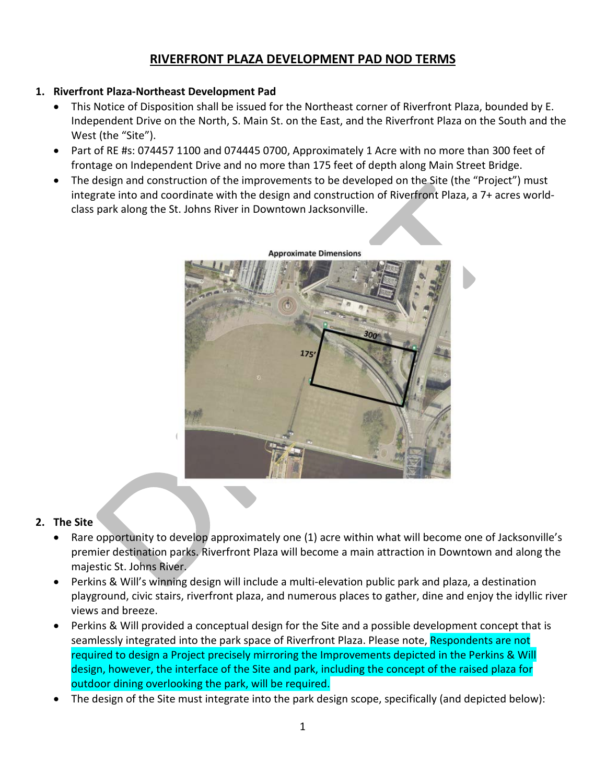# **RIVERFRONT PLAZA DEVELOPMENT PAD NOD TERMS**

# **1. Riverfront Plaza-Northeast Development Pad**

- This Notice of Disposition shall be issued for the Northeast corner of Riverfront Plaza, bounded by E. Independent Drive on the North, S. Main St. on the East, and the Riverfront Plaza on the South and the West (the "Site").
- Part of RE #s: 074457 1100 and 074445 0700, Approximately 1 Acre with no more than 300 feet of frontage on Independent Drive and no more than 175 feet of depth along Main Street Bridge.
- The design and construction of the improvements to be developed on the Site (the "Project") must integrate into and coordinate with the design and construction of Riverfront Plaza, a 7+ acres worldclass park along the St. Johns River in Downtown Jacksonville.



## **Approximate Dimensions**

# **2. The Site**

- Rare opportunity to develop approximately one (1) acre within what will become one of Jacksonville's premier destination parks. Riverfront Plaza will become a main attraction in Downtown and along the majestic St. Johns River.
- Perkins & Will's winning design will include a multi-elevation public park and plaza, a destination playground, civic stairs, riverfront plaza, and numerous places to gather, dine and enjoy the idyllic river views and breeze.
- Perkins & Will provided a conceptual design for the Site and a possible development concept that is seamlessly integrated into the park space of Riverfront Plaza. Please note, Respondents are not required to design a Project precisely mirroring the Improvements depicted in the Perkins & Will design, however, the interface of the Site and park, including the concept of the raised plaza for outdoor dining overlooking the park, will be required.
- The design of the Site must integrate into the park design scope, specifically (and depicted below):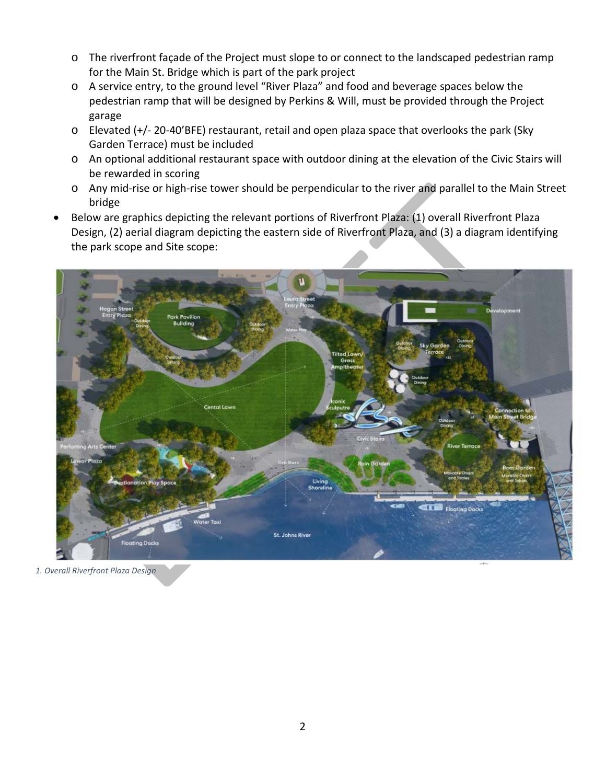- o The riverfront façade of the Project must slope to or connect to the landscaped pedestrian ramp for the Main St. Bridge which is part of the park project
- o A service entry, to the ground level "River Plaza" and food and beverage spaces below the pedestrian ramp that will be designed by Perkins & Will, must be provided through the Project garage
- o Elevated (+/- 20-40'BFE) restaurant, retail and open plaza space that overlooks the park (Sky Garden Terrace) must be included
- o An optional additional restaurant space with outdoor dining at the elevation of the Civic Stairs will be rewarded in scoring
- o Any mid-rise or high-rise tower should be perpendicular to the river and parallel to the Main Street bridge
- Below are graphics depicting the relevant portions of Riverfront Plaza: (1) overall Riverfront Plaza Design, (2) aerial diagram depicting the eastern side of Riverfront Plaza, and (3) a diagram identifying the park scope and Site scope:



*1. Overall Riverfront Plaza Design*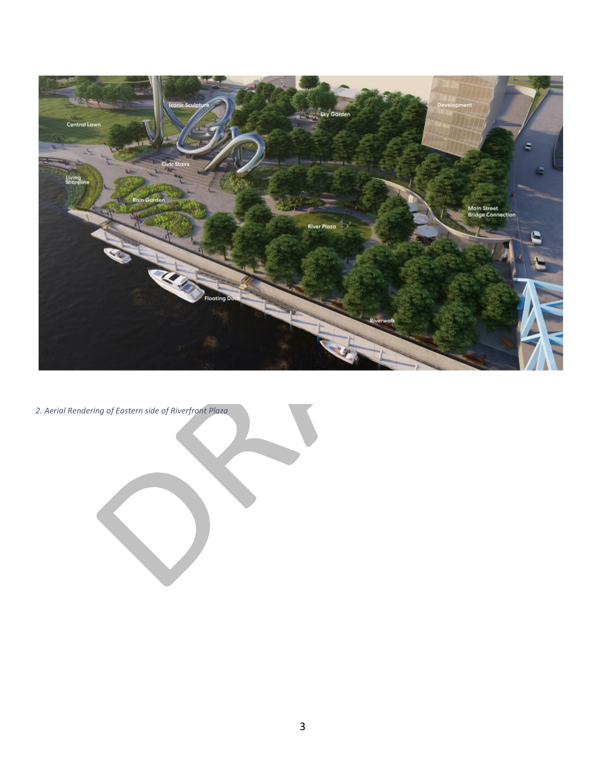

*2. Aerial Rendering of Eastern side of Riverfront Plaza*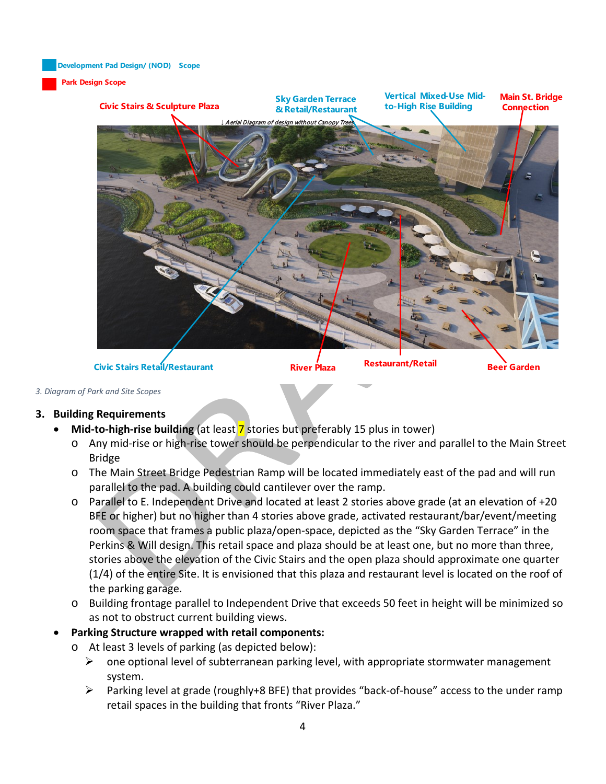**Development Pad Design/ (NOD) Scope**

### **Park Design Scope**



# *3. Diagram of Park and Site Scopes*

## **3. Building Requirements**

- **Mid-to-high-rise building** (at least 7 stories but preferably 15 plus in tower)
	- o Any mid-rise or high-rise tower should be perpendicular to the river and parallel to the Main Street Bridge
	- o The Main Street Bridge Pedestrian Ramp will be located immediately east of the pad and will run parallel to the pad. A building could cantilever over the ramp.
	- o Parallel to E. Independent Drive and located at least 2 stories above grade (at an elevation of +20 BFE or higher) but no higher than 4 stories above grade, activated restaurant/bar/event/meeting room space that frames a public plaza/open-space, depicted as the "Sky Garden Terrace" in the Perkins & Will design. This retail space and plaza should be at least one, but no more than three, stories above the elevation of the Civic Stairs and the open plaza should approximate one quarter (1/4) of the entire Site. It is envisioned that this plaza and restaurant level is located on the roof of the parking garage.
	- o Building frontage parallel to Independent Drive that exceeds 50 feet in height will be minimized so as not to obstruct current building views.
- **Parking Structure wrapped with retail components:**
	- o At least 3 levels of parking (as depicted below):
		- $\triangleright$  one optional level of subterranean parking level, with appropriate stormwater management system.
		- $\triangleright$  Parking level at grade (roughly+8 BFE) that provides "back-of-house" access to the under ramp retail spaces in the building that fronts "River Plaza."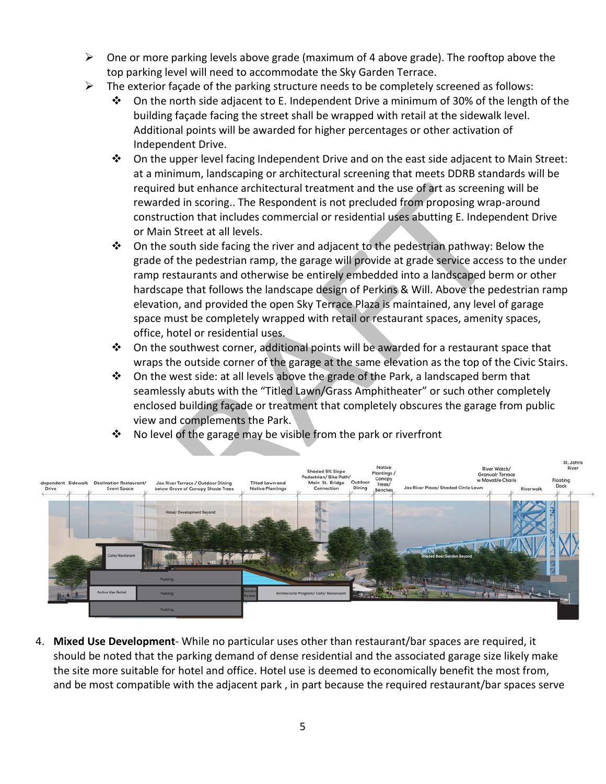- $\triangleright$  One or more parking levels above grade (maximum of 4 above grade). The rooftop above the top parking level will need to accommodate the Sky Garden Terrace.
- $\triangleright$  The exterior façade of the parking structure needs to be completely screened as follows:
	- $\div$  On the north side adjacent to E. Independent Drive a minimum of 30% of the length of the building façade facing the street shall be wrapped with retail at the sidewalk level. Additional points will be awarded for higher percentages or other activation of Independent Drive.
	- $\clubsuit$  On the upper level facing Independent Drive and on the east side adjacent to Main Street: at a minimum, landscaping or architectural screening that meets DDRB standards will be required but enhance architectural treatment and the use of art as screening will be rewarded in scoring.. The Respondent is not precluded from proposing wrap-around construction that includes commercial or residential uses abutting E. Independent Drive or Main Street at all levels.
	- $\div$  On the south side facing the river and adjacent to the pedestrian pathway: Below the grade of the pedestrian ramp, the garage will provide at grade service access to the under ramp restaurants and otherwise be entirely embedded into a landscaped berm or other hardscape that follows the landscape design of Perkins & Will. Above the pedestrian ramp elevation, and provided the open Sky Terrace Plaza is maintained, any level of garage space must be completely wrapped with retail or restaurant spaces, amenity spaces, office, hotel or residential uses.
	- $\clubsuit$  On the southwest corner, additional points will be awarded for a restaurant space that wraps the outside corner of the garage at the same elevation as the top of the Civic Stairs.
	- $\div$  On the west side: at all levels above the grade of the Park, a landscaped berm that seamlessly abuts with the "Titled Lawn/Grass Amphitheater" or such other completely enclosed building façade or treatment that completely obscures the garage from public view and complements the Park.



 $\cdot$  No level of the garage may be visible from the park or riverfront

4. **Mixed Use Development**- While no particular uses other than restaurant/bar spaces are required, it should be noted that the parking demand of dense residential and the associated garage size likely make the site more suitable for hotel and office. Hotel use is deemed to economically benefit the most from, and be most compatible with the adjacent park , in part because the required restaurant/bar spaces serve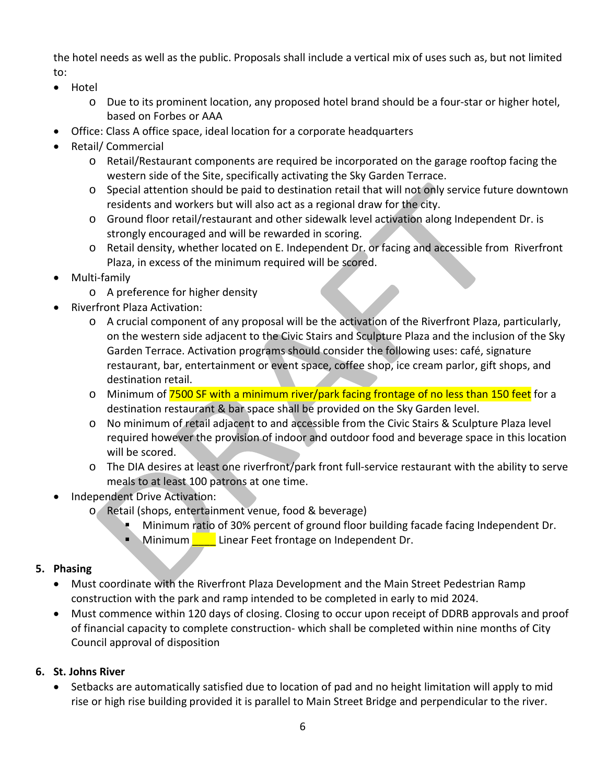the hotel needs as well as the public. Proposals shall include a vertical mix of uses such as, but not limited to:

- Hotel
	- o Due to its prominent location, any proposed hotel brand should be a four-star or higher hotel, based on Forbes or AAA
- Office: Class A office space, ideal location for a corporate headquarters
- Retail/ Commercial
	- o Retail/Restaurant components are required be incorporated on the garage rooftop facing the western side of the Site, specifically activating the Sky Garden Terrace.
	- o Special attention should be paid to destination retail that will not only service future downtown residents and workers but will also act as a regional draw for the city.
	- o Ground floor retail/restaurant and other sidewalk level activation along Independent Dr. is strongly encouraged and will be rewarded in scoring.
	- o Retail density, whether located on E. Independent Dr. or facing and accessible from Riverfront Plaza, in excess of the minimum required will be scored.
- Multi-family
	- o A preference for higher density
- Riverfront Plaza Activation:
	- o A crucial component of any proposal will be the activation of the Riverfront Plaza, particularly, on the western side adjacent to the Civic Stairs and Sculpture Plaza and the inclusion of the Sky Garden Terrace. Activation programs should consider the following uses: café, signature restaurant, bar, entertainment or event space, coffee shop, ice cream parlor, gift shops, and destination retail.
	- o Minimum of 7500 SF with a minimum river/park facing frontage of no less than 150 feet for a destination restaurant & bar space shall be provided on the Sky Garden level.
	- o No minimum of retail adjacent to and accessible from the Civic Stairs & Sculpture Plaza level required however the provision of indoor and outdoor food and beverage space in this location will be scored.
	- o The DIA desires at least one riverfront/park front full-service restaurant with the ability to serve meals to at least 100 patrons at one time.
- Independent Drive Activation:
	- o Retail (shops, entertainment venue, food & beverage)
		- Minimum ratio of 30% percent of ground floor building facade facing Independent Dr.
			- Minimum Luinear Feet frontage on Independent Dr.

# **5. Phasing**

- Must coordinate with the Riverfront Plaza Development and the Main Street Pedestrian Ramp construction with the park and ramp intended to be completed in early to mid 2024.
- Must commence within 120 days of closing. Closing to occur upon receipt of DDRB approvals and proof of financial capacity to complete construction- which shall be completed within nine months of City Council approval of disposition

# **6. St. Johns River**

• Setbacks are automatically satisfied due to location of pad and no height limitation will apply to mid rise or high rise building provided it is parallel to Main Street Bridge and perpendicular to the river.